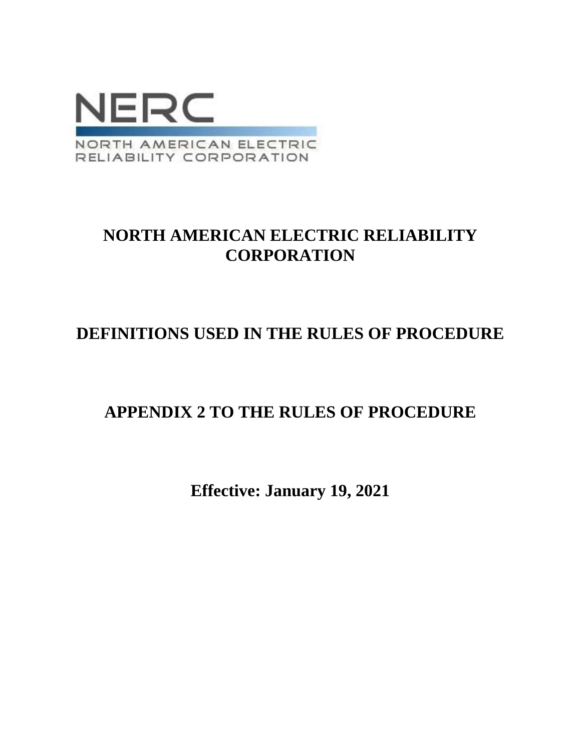

# **NORTH AMERICAN ELECTRIC RELIABILITY CORPORATION**

# **DEFINITIONS USED IN THE RULES OF PROCEDURE**

## **APPENDIX 2 TO THE RULES OF PROCEDURE**

**Effective: January 19, 2021**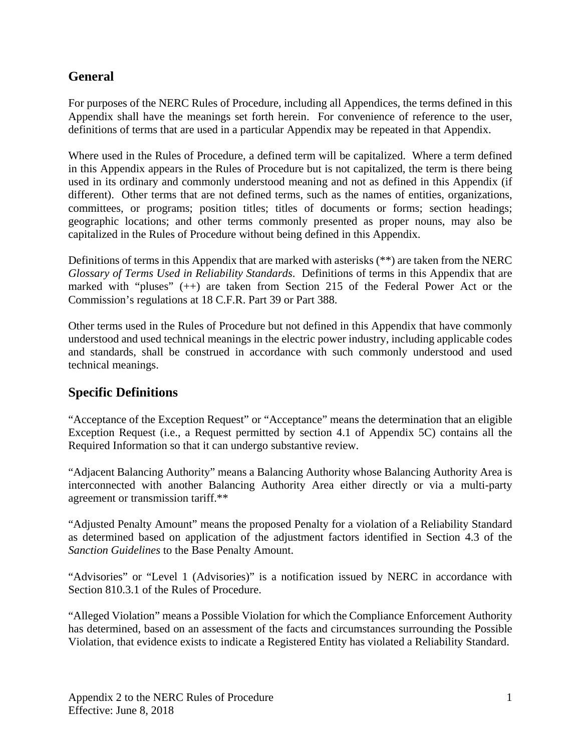### **General**

For purposes of the NERC Rules of Procedure, including all Appendices, the terms defined in this Appendix shall have the meanings set forth herein. For convenience of reference to the user, definitions of terms that are used in a particular Appendix may be repeated in that Appendix.

Where used in the Rules of Procedure, a defined term will be capitalized. Where a term defined in this Appendix appears in the Rules of Procedure but is not capitalized, the term is there being used in its ordinary and commonly understood meaning and not as defined in this Appendix (if different). Other terms that are not defined terms, such as the names of entities, organizations, committees, or programs; position titles; titles of documents or forms; section headings; geographic locations; and other terms commonly presented as proper nouns, may also be capitalized in the Rules of Procedure without being defined in this Appendix.

Definitions of terms in this Appendix that are marked with asterisks (\*\*) are taken from the NERC *Glossary of Terms Used in Reliability Standards*. Definitions of terms in this Appendix that are marked with "pluses" (++) are taken from Section 215 of the Federal Power Act or the Commission's regulations at 18 C.F.R. Part 39 or Part 388.

Other terms used in the Rules of Procedure but not defined in this Appendix that have commonly understood and used technical meanings in the electric power industry, including applicable codes and standards, shall be construed in accordance with such commonly understood and used technical meanings.

### **Specific Definitions**

"Acceptance of the Exception Request" or "Acceptance" means the determination that an eligible Exception Request (i.e., a Request permitted by section 4.1 of Appendix 5C) contains all the Required Information so that it can undergo substantive review.

"Adjacent Balancing Authority" means a Balancing Authority whose Balancing Authority Area is interconnected with another Balancing Authority Area either directly or via a multi-party agreement or transmission tariff.\*\*

"Adjusted Penalty Amount" means the proposed Penalty for a violation of a Reliability Standard as determined based on application of the adjustment factors identified in Section 4.3 of the *Sanction Guidelines* to the Base Penalty Amount.

"Advisories" or "Level 1 (Advisories)" is a notification issued by NERC in accordance with Section 810.3.1 of the Rules of Procedure.

"Alleged Violation" means a Possible Violation for which the Compliance Enforcement Authority has determined, based on an assessment of the facts and circumstances surrounding the Possible Violation, that evidence exists to indicate a Registered Entity has violated a Reliability Standard.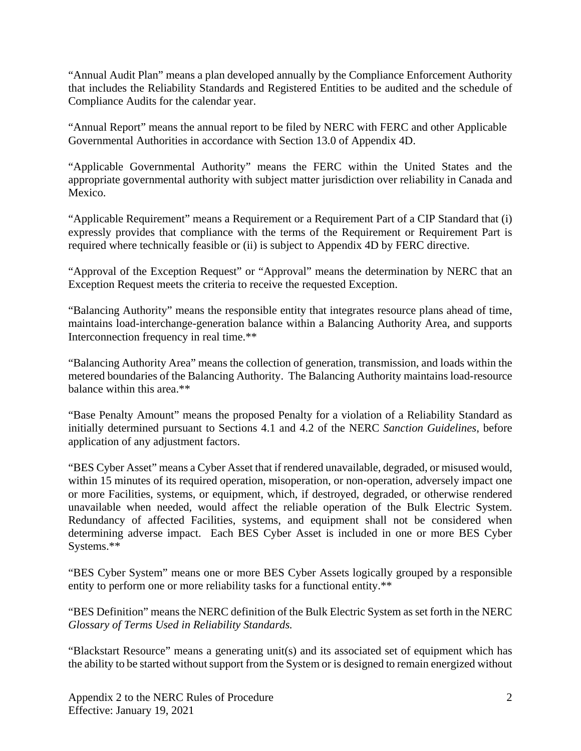"Annual Audit Plan" means a plan developed annually by the Compliance Enforcement Authority that includes the Reliability Standards and Registered Entities to be audited and the schedule of Compliance Audits for the calendar year.

"Annual Report" means the annual report to be filed by NERC with FERC and other Applicable Governmental Authorities in accordance with Section 13.0 of Appendix 4D.

"Applicable Governmental Authority" means the FERC within the United States and the appropriate governmental authority with subject matter jurisdiction over reliability in Canada and Mexico.

"Applicable Requirement" means a Requirement or a Requirement Part of a CIP Standard that (i) expressly provides that compliance with the terms of the Requirement or Requirement Part is required where technically feasible or (ii) is subject to Appendix 4D by FERC directive.

"Approval of the Exception Request" or "Approval" means the determination by NERC that an Exception Request meets the criteria to receive the requested Exception.

"Balancing Authority" means the responsible entity that integrates resource plans ahead of time, maintains load-interchange-generation balance within a Balancing Authority Area, and supports Interconnection frequency in real time.\*\*

"Balancing Authority Area" means the collection of generation, transmission, and loads within the metered boundaries of the Balancing Authority. The Balancing Authority maintains load-resource balance within this area.\*\*

"Base Penalty Amount" means the proposed Penalty for a violation of a Reliability Standard as initially determined pursuant to Sections 4.1 and 4.2 of the NERC *Sanction Guidelines*, before application of any adjustment factors.

"BES Cyber Asset" means a Cyber Asset that if rendered unavailable, degraded, or misused would, within 15 minutes of its required operation, misoperation, or non-operation, adversely impact one or more Facilities, systems, or equipment, which, if destroyed, degraded, or otherwise rendered unavailable when needed, would affect the reliable operation of the Bulk Electric System. Redundancy of affected Facilities, systems, and equipment shall not be considered when determining adverse impact. Each BES Cyber Asset is included in one or more BES Cyber Systems.\*\*

"BES Cyber System" means one or more BES Cyber Assets logically grouped by a responsible entity to perform one or more reliability tasks for a functional entity.\*\*

"BES Definition" means the NERC definition of the Bulk Electric System as set forth in the NERC *Glossary of Terms Used in Reliability Standards.*

"Blackstart Resource" means a generating unit(s) and its associated set of equipment which has the ability to be started without support from the System or is designed to remain energized without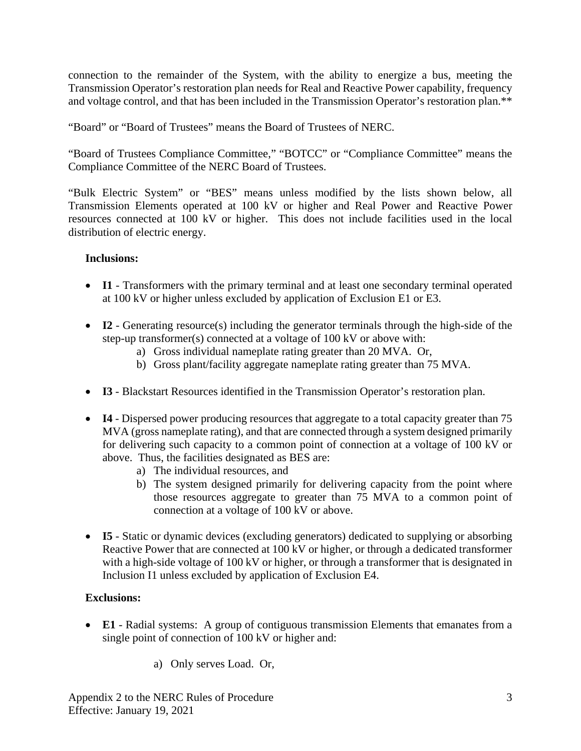connection to the remainder of the System, with the ability to energize a bus, meeting the Transmission Operator's restoration plan needs for Real and Reactive Power capability, frequency and voltage control, and that has been included in the Transmission Operator's restoration plan.\*\*

"Board" or "Board of Trustees" means the Board of Trustees of NERC.

"Board of Trustees Compliance Committee," "BOTCC" or "Compliance Committee" means the Compliance Committee of the NERC Board of Trustees.

"Bulk Electric System" or "BES" means unless modified by the lists shown below, all Transmission Elements operated at 100 kV or higher and Real Power and Reactive Power resources connected at 100 kV or higher. This does not include facilities used in the local distribution of electric energy.

### **Inclusions:**

- **I1** Transformers with the primary terminal and at least one secondary terminal operated at 100 kV or higher unless excluded by application of Exclusion E1 or E3.
- **I2** Generating resource(s) including the generator terminals through the high-side of the step-up transformer(s) connected at a voltage of 100 kV or above with:
	- a) Gross individual nameplate rating greater than 20 MVA. Or,
	- b) Gross plant/facility aggregate nameplate rating greater than 75 MVA.
- **I3** Blackstart Resources identified in the Transmission Operator's restoration plan.
- **I4** Dispersed power producing resources that aggregate to a total capacity greater than 75 MVA (gross nameplate rating), and that are connected through a system designed primarily for delivering such capacity to a common point of connection at a voltage of 100 kV or above. Thus, the facilities designated as BES are:
	- a) The individual resources, and
	- b) The system designed primarily for delivering capacity from the point where those resources aggregate to greater than 75 MVA to a common point of connection at a voltage of 100 kV or above.
- **I5** Static or dynamic devices (excluding generators) dedicated to supplying or absorbing Reactive Power that are connected at 100 kV or higher, or through a dedicated transformer with a high-side voltage of 100 kV or higher, or through a transformer that is designated in Inclusion I1 unless excluded by application of Exclusion E4.

#### **Exclusions:**

- **E1** Radial systems: A group of contiguous transmission Elements that emanates from a single point of connection of 100 kV or higher and:
	- a) Only serves Load. Or,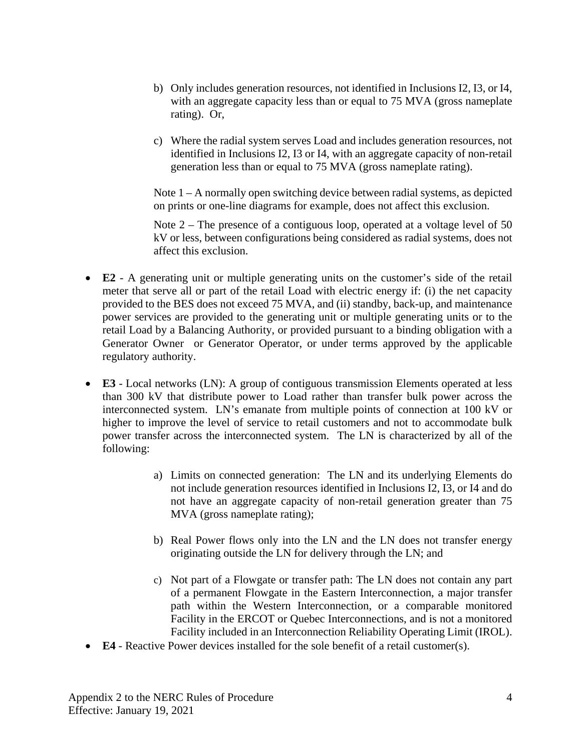- b) Only includes generation resources, not identified in Inclusions I2, I3, or I4, with an aggregate capacity less than or equal to 75 MVA (gross nameplate rating). Or,
- c) Where the radial system serves Load and includes generation resources, not identified in Inclusions I2, I3 or I4, with an aggregate capacity of non-retail generation less than or equal to 75 MVA (gross nameplate rating).

Note 1 – A normally open switching device between radial systems, as depicted on prints or one-line diagrams for example, does not affect this exclusion.

Note  $2$  – The presence of a contiguous loop, operated at a voltage level of 50 kV or less, between configurations being considered as radial systems, does not affect this exclusion.

- **E2** A generating unit or multiple generating units on the customer's side of the retail meter that serve all or part of the retail Load with electric energy if: (i) the net capacity provided to the BES does not exceed 75 MVA, and (ii) standby, back-up, and maintenance power services are provided to the generating unit or multiple generating units or to the retail Load by a Balancing Authority, or provided pursuant to a binding obligation with a Generator Owner or Generator Operator, or under terms approved by the applicable regulatory authority.
- **E3** Local networks (LN): A group of contiguous transmission Elements operated at less than 300 kV that distribute power to Load rather than transfer bulk power across the interconnected system. LN's emanate from multiple points of connection at 100 kV or higher to improve the level of service to retail customers and not to accommodate bulk power transfer across the interconnected system. The LN is characterized by all of the following:
	- a) Limits on connected generation: The LN and its underlying Elements do not include generation resources identified in Inclusions I2, I3, or I4 and do not have an aggregate capacity of non-retail generation greater than 75 MVA (gross nameplate rating);
	- b) Real Power flows only into the LN and the LN does not transfer energy originating outside the LN for delivery through the LN; and
	- c) Not part of a Flowgate or transfer path: The LN does not contain any part of a permanent Flowgate in the Eastern Interconnection, a major transfer path within the Western Interconnection, or a comparable monitored Facility in the ERCOT or Quebec Interconnections, and is not a monitored Facility included in an Interconnection Reliability Operating Limit (IROL).
- **E4** Reactive Power devices installed for the sole benefit of a retail customer(s).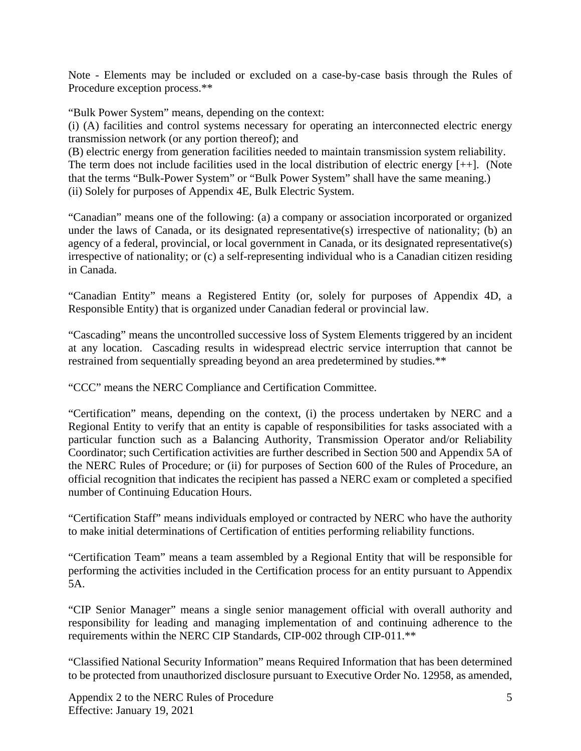Note - Elements may be included or excluded on a case-by-case basis through the Rules of Procedure exception process.\*\*

"Bulk Power System" means, depending on the context:

(i) (A) facilities and control systems necessary for operating an interconnected electric energy transmission network (or any portion thereof); and

(B) electric energy from generation facilities needed to maintain transmission system reliability. The term does not include facilities used in the local distribution of electric energy [++]. (Note that the terms "Bulk-Power System" or "Bulk Power System" shall have the same meaning.) (ii) Solely for purposes of Appendix 4E, Bulk Electric System.

"Canadian" means one of the following: (a) a company or association incorporated or organized under the laws of Canada, or its designated representative(s) irrespective of nationality; (b) an agency of a federal, provincial, or local government in Canada, or its designated representative(s) irrespective of nationality; or (c) a self-representing individual who is a Canadian citizen residing in Canada.

"Canadian Entity" means a Registered Entity (or, solely for purposes of Appendix 4D, a Responsible Entity) that is organized under Canadian federal or provincial law.

"Cascading" means the uncontrolled successive loss of System Elements triggered by an incident at any location. Cascading results in widespread electric service interruption that cannot be restrained from sequentially spreading beyond an area predetermined by studies.\*\*

"CCC" means the NERC Compliance and Certification Committee.

"Certification" means, depending on the context, (i) the process undertaken by NERC and a Regional Entity to verify that an entity is capable of responsibilities for tasks associated with a particular function such as a Balancing Authority, Transmission Operator and/or Reliability Coordinator; such Certification activities are further described in Section 500 and Appendix 5A of the NERC Rules of Procedure; or (ii) for purposes of Section 600 of the Rules of Procedure, an official recognition that indicates the recipient has passed a NERC exam or completed a specified number of Continuing Education Hours.

"Certification Staff" means individuals employed or contracted by NERC who have the authority to make initial determinations of Certification of entities performing reliability functions.

"Certification Team" means a team assembled by a Regional Entity that will be responsible for performing the activities included in the Certification process for an entity pursuant to Appendix 5A.

"CIP Senior Manager" means a single senior management official with overall authority and responsibility for leading and managing implementation of and continuing adherence to the requirements within the NERC CIP Standards, CIP-002 through CIP-011.\*\*

"Classified National Security Information" means Required Information that has been determined to be protected from unauthorized disclosure pursuant to Executive Order No. 12958, as amended,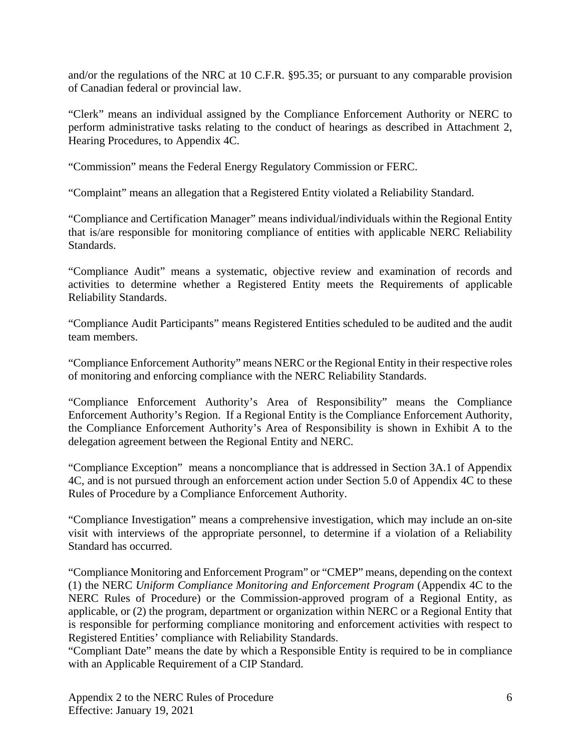and/or the regulations of the NRC at 10 C.F.R. §95.35; or pursuant to any comparable provision of Canadian federal or provincial law.

"Clerk" means an individual assigned by the Compliance Enforcement Authority or NERC to perform administrative tasks relating to the conduct of hearings as described in Attachment 2, Hearing Procedures, to Appendix 4C.

"Commission" means the Federal Energy Regulatory Commission or FERC.

"Complaint" means an allegation that a Registered Entity violated a Reliability Standard.

"Compliance and Certification Manager" means individual/individuals within the Regional Entity that is/are responsible for monitoring compliance of entities with applicable NERC Reliability Standards.

"Compliance Audit" means a systematic, objective review and examination of records and activities to determine whether a Registered Entity meets the Requirements of applicable Reliability Standards.

"Compliance Audit Participants" means Registered Entities scheduled to be audited and the audit team members.

"Compliance Enforcement Authority" means NERC or the Regional Entity in their respective roles of monitoring and enforcing compliance with the NERC Reliability Standards.

"Compliance Enforcement Authority's Area of Responsibility" means the Compliance Enforcement Authority's Region. If a Regional Entity is the Compliance Enforcement Authority, the Compliance Enforcement Authority's Area of Responsibility is shown in Exhibit A to the delegation agreement between the Regional Entity and NERC.

"Compliance Exception" means a noncompliance that is addressed in Section 3A.1 of Appendix 4C, and is not pursued through an enforcement action under Section 5.0 of Appendix 4C to these Rules of Procedure by a Compliance Enforcement Authority.

"Compliance Investigation" means a comprehensive investigation, which may include an on-site visit with interviews of the appropriate personnel, to determine if a violation of a Reliability Standard has occurred.

"Compliance Monitoring and Enforcement Program" or "CMEP" means, depending on the context (1) the NERC *Uniform Compliance Monitoring and Enforcement Program* (Appendix 4C to the NERC Rules of Procedure) or the Commission-approved program of a Regional Entity, as applicable, or (2) the program, department or organization within NERC or a Regional Entity that is responsible for performing compliance monitoring and enforcement activities with respect to Registered Entities' compliance with Reliability Standards.

"Compliant Date" means the date by which a Responsible Entity is required to be in compliance with an Applicable Requirement of a CIP Standard.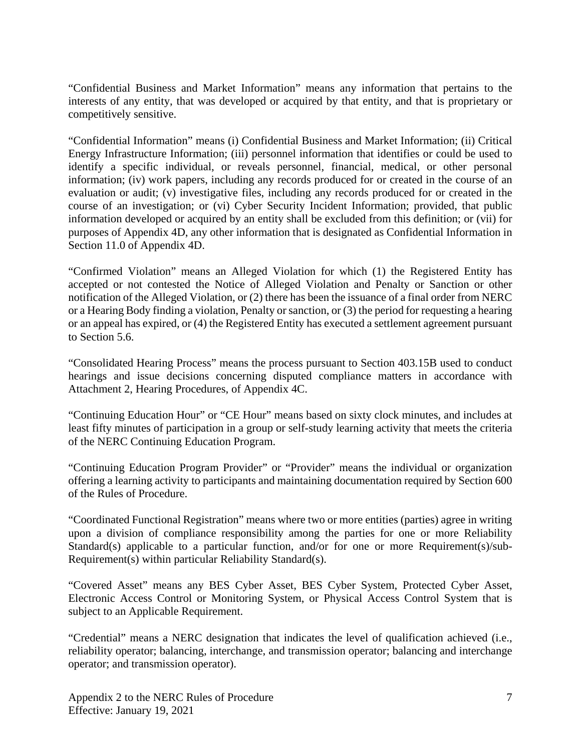"Confidential Business and Market Information" means any information that pertains to the interests of any entity, that was developed or acquired by that entity, and that is proprietary or competitively sensitive.

"Confidential Information" means (i) Confidential Business and Market Information; (ii) Critical Energy Infrastructure Information; (iii) personnel information that identifies or could be used to identify a specific individual, or reveals personnel, financial, medical, or other personal information; (iv) work papers, including any records produced for or created in the course of an evaluation or audit; (v) investigative files, including any records produced for or created in the course of an investigation; or (vi) Cyber Security Incident Information; provided, that public information developed or acquired by an entity shall be excluded from this definition; or (vii) for purposes of Appendix 4D, any other information that is designated as Confidential Information in Section 11.0 of Appendix 4D.

"Confirmed Violation" means an Alleged Violation for which (1) the Registered Entity has accepted or not contested the Notice of Alleged Violation and Penalty or Sanction or other notification of the Alleged Violation, or (2) there has been the issuance of a final order from NERC or a Hearing Body finding a violation, Penalty or sanction, or (3) the period for requesting a hearing or an appeal has expired, or (4) the Registered Entity has executed a settlement agreement pursuant to Section 5.6.

"Consolidated Hearing Process" means the process pursuant to Section 403.15B used to conduct hearings and issue decisions concerning disputed compliance matters in accordance with Attachment 2, Hearing Procedures, of Appendix 4C.

"Continuing Education Hour" or "CE Hour" means based on sixty clock minutes, and includes at least fifty minutes of participation in a group or self-study learning activity that meets the criteria of the NERC Continuing Education Program.

"Continuing Education Program Provider" or "Provider" means the individual or organization offering a learning activity to participants and maintaining documentation required by Section 600 of the Rules of Procedure.

"Coordinated Functional Registration" means where two or more entities (parties) agree in writing upon a division of compliance responsibility among the parties for one or more Reliability Standard(s) applicable to a particular function, and/or for one or more Requirement(s)/sub-Requirement(s) within particular Reliability Standard(s).

"Covered Asset" means any BES Cyber Asset, BES Cyber System, Protected Cyber Asset, Electronic Access Control or Monitoring System, or Physical Access Control System that is subject to an Applicable Requirement.

"Credential" means a NERC designation that indicates the level of qualification achieved (i.e., reliability operator; balancing, interchange, and transmission operator; balancing and interchange operator; and transmission operator).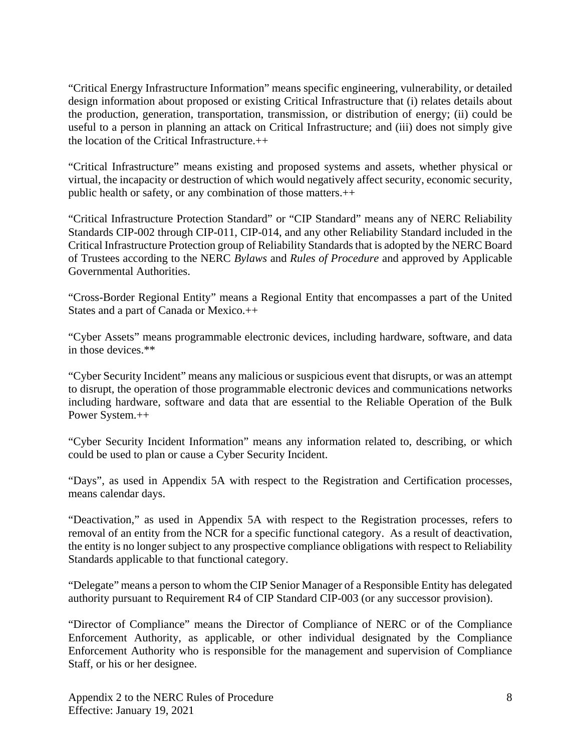"Critical Energy Infrastructure Information" means specific engineering, vulnerability, or detailed design information about proposed or existing Critical Infrastructure that (i) relates details about the production, generation, transportation, transmission, or distribution of energy; (ii) could be useful to a person in planning an attack on Critical Infrastructure; and (iii) does not simply give the location of the Critical Infrastructure.++

"Critical Infrastructure" means existing and proposed systems and assets, whether physical or virtual, the incapacity or destruction of which would negatively affect security, economic security, public health or safety, or any combination of those matters.++

"Critical Infrastructure Protection Standard" or "CIP Standard" means any of NERC Reliability Standards CIP-002 through CIP-011, CIP-014, and any other Reliability Standard included in the Critical Infrastructure Protection group of Reliability Standards that is adopted by the NERC Board of Trustees according to the NERC *Bylaws* and *Rules of Procedure* and approved by Applicable Governmental Authorities.

"Cross-Border Regional Entity" means a Regional Entity that encompasses a part of the United States and a part of Canada or Mexico.++

"Cyber Assets" means programmable electronic devices, including hardware, software, and data in those devices.\*\*

"Cyber Security Incident" means any malicious or suspicious event that disrupts, or was an attempt to disrupt, the operation of those programmable electronic devices and communications networks including hardware, software and data that are essential to the Reliable Operation of the Bulk Power System.++

"Cyber Security Incident Information" means any information related to, describing, or which could be used to plan or cause a Cyber Security Incident.

"Days", as used in Appendix 5A with respect to the Registration and Certification processes, means calendar days.

"Deactivation," as used in Appendix 5A with respect to the Registration processes, refers to removal of an entity from the NCR for a specific functional category. As a result of deactivation, the entity is no longer subject to any prospective compliance obligations with respect to Reliability Standards applicable to that functional category.

"Delegate" means a person to whom the CIP Senior Manager of a Responsible Entity has delegated authority pursuant to Requirement R4 of CIP Standard CIP-003 (or any successor provision).

"Director of Compliance" means the Director of Compliance of NERC or of the Compliance Enforcement Authority, as applicable, or other individual designated by the Compliance Enforcement Authority who is responsible for the management and supervision of Compliance Staff, or his or her designee.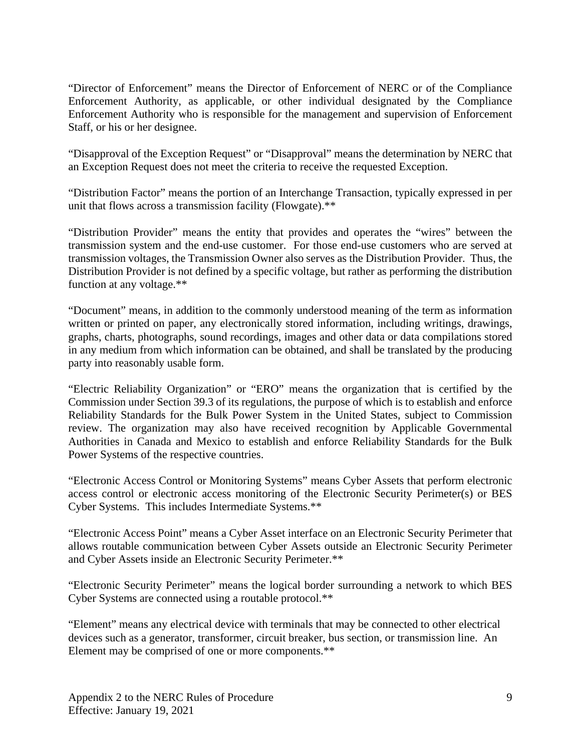"Director of Enforcement" means the Director of Enforcement of NERC or of the Compliance Enforcement Authority, as applicable, or other individual designated by the Compliance Enforcement Authority who is responsible for the management and supervision of Enforcement Staff, or his or her designee.

"Disapproval of the Exception Request" or "Disapproval" means the determination by NERC that an Exception Request does not meet the criteria to receive the requested Exception.

"Distribution Factor" means the portion of an Interchange Transaction, typically expressed in per unit that flows across a transmission facility (Flowgate).\*\*

"Distribution Provider" means the entity that provides and operates the "wires" between the transmission system and the end-use customer. For those end-use customers who are served at transmission voltages, the Transmission Owner also serves as the Distribution Provider. Thus, the Distribution Provider is not defined by a specific voltage, but rather as performing the distribution function at any voltage.\*\*

"Document" means, in addition to the commonly understood meaning of the term as information written or printed on paper, any electronically stored information, including writings, drawings, graphs, charts, photographs, sound recordings, images and other data or data compilations stored in any medium from which information can be obtained, and shall be translated by the producing party into reasonably usable form.

"Electric Reliability Organization" or "ERO" means the organization that is certified by the Commission under Section 39.3 of its regulations, the purpose of which is to establish and enforce Reliability Standards for the Bulk Power System in the United States, subject to Commission review. The organization may also have received recognition by Applicable Governmental Authorities in Canada and Mexico to establish and enforce Reliability Standards for the Bulk Power Systems of the respective countries.

"Electronic Access Control or Monitoring Systems" means Cyber Assets that perform electronic access control or electronic access monitoring of the Electronic Security Perimeter(s) or BES Cyber Systems. This includes Intermediate Systems.\*\*

"Electronic Access Point" means a Cyber Asset interface on an Electronic Security Perimeter that allows routable communication between Cyber Assets outside an Electronic Security Perimeter and Cyber Assets inside an Electronic Security Perimeter.\*\*

"Electronic Security Perimeter" means the logical border surrounding a network to which BES Cyber Systems are connected using a routable protocol.\*\*

"Element" means any electrical device with terminals that may be connected to other electrical devices such as a generator, transformer, circuit breaker, bus section, or transmission line. An Element may be comprised of one or more components.\*\*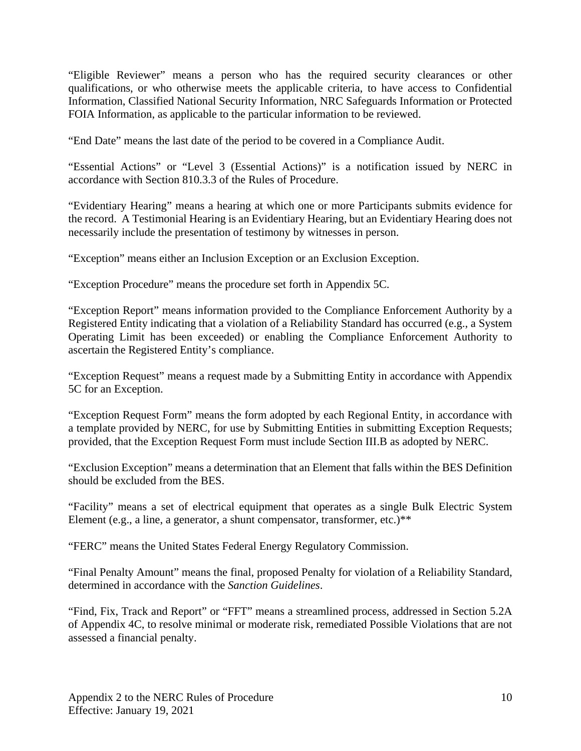"Eligible Reviewer" means a person who has the required security clearances or other qualifications, or who otherwise meets the applicable criteria, to have access to Confidential Information, Classified National Security Information, NRC Safeguards Information or Protected FOIA Information, as applicable to the particular information to be reviewed.

"End Date" means the last date of the period to be covered in a Compliance Audit.

"Essential Actions" or "Level 3 (Essential Actions)" is a notification issued by NERC in accordance with Section 810.3.3 of the Rules of Procedure.

"Evidentiary Hearing" means a hearing at which one or more Participants submits evidence for the record. A Testimonial Hearing is an Evidentiary Hearing, but an Evidentiary Hearing does not necessarily include the presentation of testimony by witnesses in person.

"Exception" means either an Inclusion Exception or an Exclusion Exception.

"Exception Procedure" means the procedure set forth in Appendix 5C.

"Exception Report" means information provided to the Compliance Enforcement Authority by a Registered Entity indicating that a violation of a Reliability Standard has occurred (e.g., a System Operating Limit has been exceeded) or enabling the Compliance Enforcement Authority to ascertain the Registered Entity's compliance.

"Exception Request" means a request made by a Submitting Entity in accordance with Appendix 5C for an Exception.

"Exception Request Form" means the form adopted by each Regional Entity, in accordance with a template provided by NERC, for use by Submitting Entities in submitting Exception Requests; provided, that the Exception Request Form must include Section III.B as adopted by NERC.

"Exclusion Exception" means a determination that an Element that falls within the BES Definition should be excluded from the BES.

"Facility" means a set of electrical equipment that operates as a single Bulk Electric System Element (e.g., a line, a generator, a shunt compensator, transformer, etc.)\*\*

"FERC" means the United States Federal Energy Regulatory Commission.

"Final Penalty Amount" means the final, proposed Penalty for violation of a Reliability Standard, determined in accordance with the *Sanction Guidelines*.

"Find, Fix, Track and Report" or "FFT" means a streamlined process, addressed in Section 5.2A of Appendix 4C, to resolve minimal or moderate risk, remediated Possible Violations that are not assessed a financial penalty.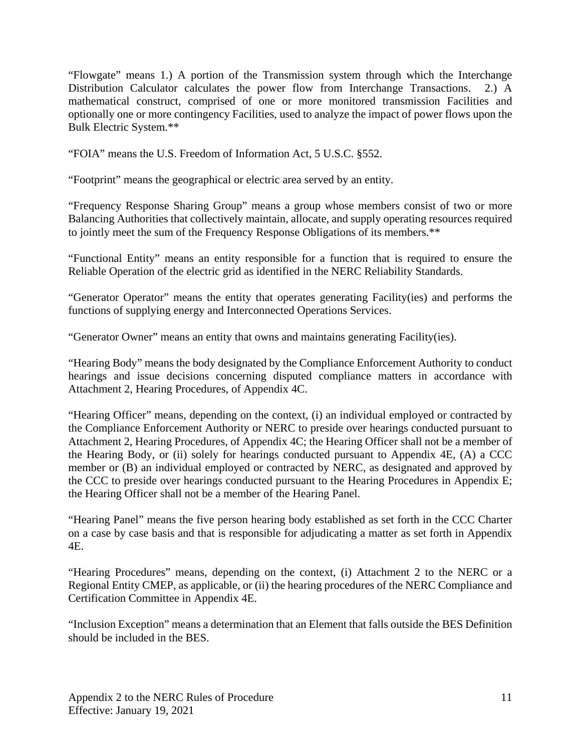"Flowgate" means 1.) A portion of the Transmission system through which the Interchange Distribution Calculator calculates the power flow from Interchange Transactions. 2.) A mathematical construct, comprised of one or more monitored transmission Facilities and optionally one or more contingency Facilities, used to analyze the impact of power flows upon the Bulk Electric System.\*\*

"FOIA" means the U.S. Freedom of Information Act, 5 U.S.C. §552.

"Footprint" means the geographical or electric area served by an entity.

"Frequency Response Sharing Group" means a group whose members consist of two or more Balancing Authorities that collectively maintain, allocate, and supply operating resources required to jointly meet the sum of the Frequency Response Obligations of its members.\*\*

"Functional Entity" means an entity responsible for a function that is required to ensure the Reliable Operation of the electric grid as identified in the NERC Reliability Standards.

"Generator Operator" means the entity that operates generating Facility(ies) and performs the functions of supplying energy and Interconnected Operations Services.

"Generator Owner" means an entity that owns and maintains generating Facility(ies).

"Hearing Body" means the body designated by the Compliance Enforcement Authority to conduct hearings and issue decisions concerning disputed compliance matters in accordance with Attachment 2, Hearing Procedures, of Appendix 4C.

"Hearing Officer" means, depending on the context, (i) an individual employed or contracted by the Compliance Enforcement Authority or NERC to preside over hearings conducted pursuant to Attachment 2, Hearing Procedures, of Appendix 4C; the Hearing Officer shall not be a member of the Hearing Body, or (ii) solely for hearings conducted pursuant to Appendix 4E, (A) a CCC member or (B) an individual employed or contracted by NERC, as designated and approved by the CCC to preside over hearings conducted pursuant to the Hearing Procedures in Appendix E; the Hearing Officer shall not be a member of the Hearing Panel.

"Hearing Panel" means the five person hearing body established as set forth in the CCC Charter on a case by case basis and that is responsible for adjudicating a matter as set forth in Appendix 4E.

"Hearing Procedures" means, depending on the context, (i) Attachment 2 to the NERC or a Regional Entity CMEP, as applicable, or (ii) the hearing procedures of the NERC Compliance and Certification Committee in Appendix 4E.

"Inclusion Exception" means a determination that an Element that falls outside the BES Definition should be included in the BES.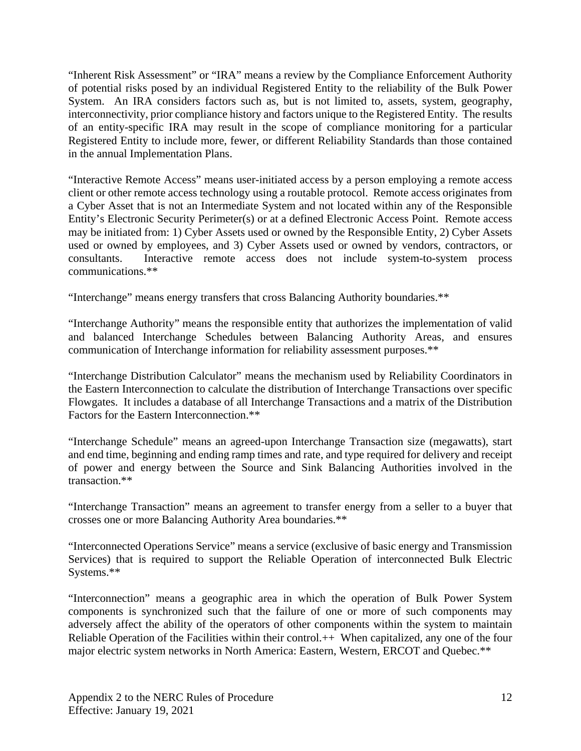"Inherent Risk Assessment" or "IRA" means a review by the Compliance Enforcement Authority of potential risks posed by an individual Registered Entity to the reliability of the Bulk Power System. An IRA considers factors such as, but is not limited to, assets, system, geography, interconnectivity, prior compliance history and factors unique to the Registered Entity. The results of an entity-specific IRA may result in the scope of compliance monitoring for a particular Registered Entity to include more, fewer, or different Reliability Standards than those contained in the annual Implementation Plans.

"Interactive Remote Access" means user-initiated access by a person employing a remote access client or other remote access technology using a routable protocol. Remote access originates from a Cyber Asset that is not an Intermediate System and not located within any of the Responsible Entity's Electronic Security Perimeter(s) or at a defined Electronic Access Point. Remote access may be initiated from: 1) Cyber Assets used or owned by the Responsible Entity, 2) Cyber Assets used or owned by employees, and 3) Cyber Assets used or owned by vendors, contractors, or consultants. Interactive remote access does not include system-to-system process communications.\*\*

"Interchange" means energy transfers that cross Balancing Authority boundaries.\*\*

"Interchange Authority" means the responsible entity that authorizes the implementation of valid and balanced Interchange Schedules between Balancing Authority Areas, and ensures communication of Interchange information for reliability assessment purposes.\*\*

"Interchange Distribution Calculator" means the mechanism used by Reliability Coordinators in the Eastern Interconnection to calculate the distribution of Interchange Transactions over specific Flowgates. It includes a database of all Interchange Transactions and a matrix of the Distribution Factors for the Eastern Interconnection.\*\*

"Interchange Schedule" means an agreed-upon Interchange Transaction size (megawatts), start and end time, beginning and ending ramp times and rate, and type required for delivery and receipt of power and energy between the Source and Sink Balancing Authorities involved in the transaction.\*\*

"Interchange Transaction" means an agreement to transfer energy from a seller to a buyer that crosses one or more Balancing Authority Area boundaries.\*\*

"Interconnected Operations Service" means a service (exclusive of basic energy and Transmission Services) that is required to support the Reliable Operation of interconnected Bulk Electric Systems.\*\*

"Interconnection" means a geographic area in which the operation of Bulk Power System components is synchronized such that the failure of one or more of such components may adversely affect the ability of the operators of other components within the system to maintain Reliable Operation of the Facilities within their control.++ When capitalized, any one of the four major electric system networks in North America: Eastern, Western, ERCOT and Quebec.\*\*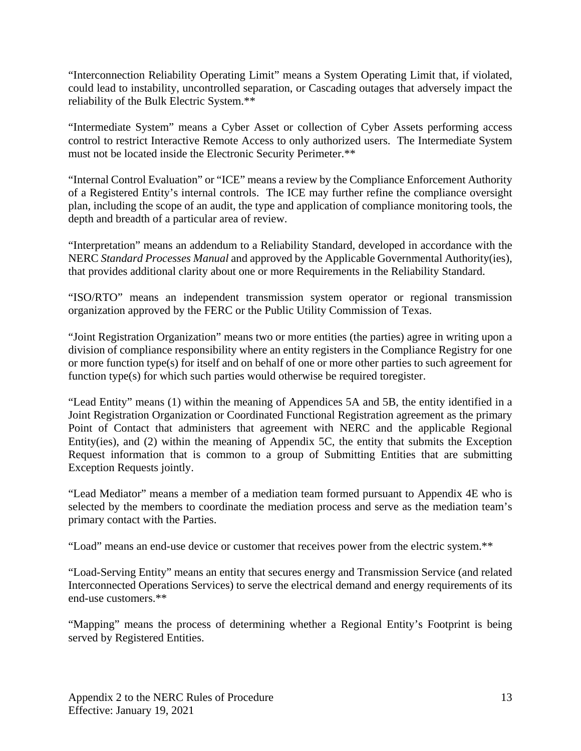"Interconnection Reliability Operating Limit" means a System Operating Limit that, if violated, could lead to instability, uncontrolled separation, or Cascading outages that adversely impact the reliability of the Bulk Electric System.\*\*

"Intermediate System" means a Cyber Asset or collection of Cyber Assets performing access control to restrict Interactive Remote Access to only authorized users. The Intermediate System must not be located inside the Electronic Security Perimeter.\*\*

"Internal Control Evaluation" or "ICE" means a review by the Compliance Enforcement Authority of a Registered Entity's internal controls. The ICE may further refine the compliance oversight plan, including the scope of an audit, the type and application of compliance monitoring tools, the depth and breadth of a particular area of review.

"Interpretation" means an addendum to a Reliability Standard, developed in accordance with the NERC *Standard Processes Manual* and approved by the Applicable Governmental Authority(ies), that provides additional clarity about one or more Requirements in the Reliability Standard.

"ISO/RTO" means an independent transmission system operator or regional transmission organization approved by the FERC or the Public Utility Commission of Texas.

"Joint Registration Organization" means two or more entities (the parties) agree in writing upon a division of compliance responsibility where an entity registers in the Compliance Registry for one or more function type(s) for itself and on behalf of one or more other parties to such agreement for function type(s) for which such parties would otherwise be required toregister.

"Lead Entity" means (1) within the meaning of Appendices 5A and 5B, the entity identified in a Joint Registration Organization or Coordinated Functional Registration agreement as the primary Point of Contact that administers that agreement with NERC and the applicable Regional Entity(ies), and (2) within the meaning of Appendix 5C, the entity that submits the Exception Request information that is common to a group of Submitting Entities that are submitting Exception Requests jointly.

"Lead Mediator" means a member of a mediation team formed pursuant to Appendix 4E who is selected by the members to coordinate the mediation process and serve as the mediation team's primary contact with the Parties.

"Load" means an end-use device or customer that receives power from the electric system.\*\*

"Load-Serving Entity" means an entity that secures energy and Transmission Service (and related Interconnected Operations Services) to serve the electrical demand and energy requirements of its end-use customers.\*\*

"Mapping" means the process of determining whether a Regional Entity's Footprint is being served by Registered Entities.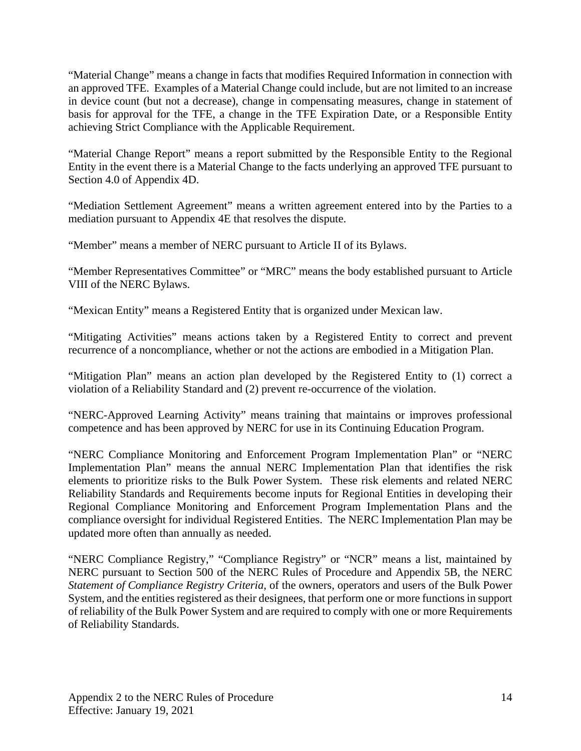"Material Change" means a change in facts that modifies Required Information in connection with an approved TFE. Examples of a Material Change could include, but are not limited to an increase in device count (but not a decrease), change in compensating measures, change in statement of basis for approval for the TFE, a change in the TFE Expiration Date, or a Responsible Entity achieving Strict Compliance with the Applicable Requirement.

"Material Change Report" means a report submitted by the Responsible Entity to the Regional Entity in the event there is a Material Change to the facts underlying an approved TFE pursuant to Section 4.0 of Appendix 4D.

"Mediation Settlement Agreement" means a written agreement entered into by the Parties to a mediation pursuant to Appendix 4E that resolves the dispute.

"Member" means a member of NERC pursuant to Article II of its Bylaws.

"Member Representatives Committee" or "MRC" means the body established pursuant to Article VIII of the NERC Bylaws.

"Mexican Entity" means a Registered Entity that is organized under Mexican law.

"Mitigating Activities" means actions taken by a Registered Entity to correct and prevent recurrence of a noncompliance, whether or not the actions are embodied in a Mitigation Plan.

"Mitigation Plan" means an action plan developed by the Registered Entity to (1) correct a violation of a Reliability Standard and (2) prevent re-occurrence of the violation.

"NERC-Approved Learning Activity" means training that maintains or improves professional competence and has been approved by NERC for use in its Continuing Education Program.

"NERC Compliance Monitoring and Enforcement Program Implementation Plan" or "NERC Implementation Plan" means the annual NERC Implementation Plan that identifies the risk elements to prioritize risks to the Bulk Power System. These risk elements and related NERC Reliability Standards and Requirements become inputs for Regional Entities in developing their Regional Compliance Monitoring and Enforcement Program Implementation Plans and the compliance oversight for individual Registered Entities. The NERC Implementation Plan may be updated more often than annually as needed.

"NERC Compliance Registry," "Compliance Registry" or "NCR" means a list, maintained by NERC pursuant to Section 500 of the NERC Rules of Procedure and Appendix 5B, the NERC *Statement of Compliance Registry Criteria*, of the owners, operators and users of the Bulk Power System, and the entities registered as their designees, that perform one or more functions in support of reliability of the Bulk Power System and are required to comply with one or more Requirements of Reliability Standards.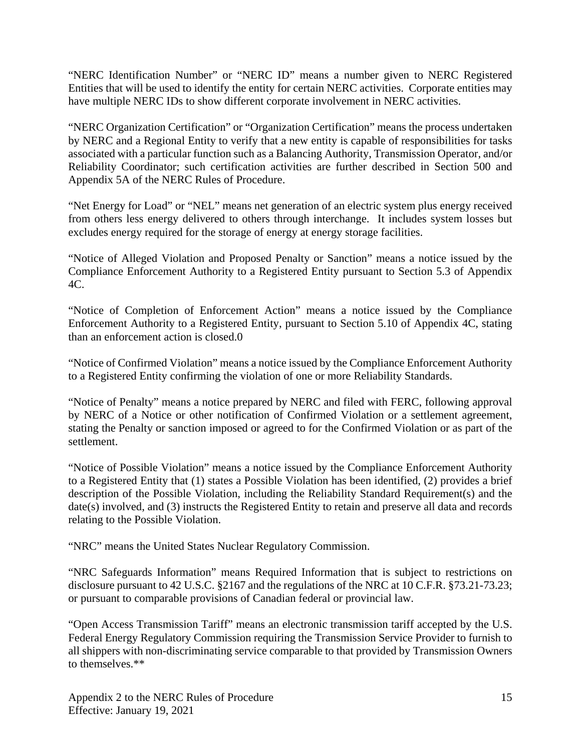"NERC Identification Number" or "NERC ID" means a number given to NERC Registered Entities that will be used to identify the entity for certain NERC activities. Corporate entities may have multiple NERC IDs to show different corporate involvement in NERC activities.

"NERC Organization Certification" or "Organization Certification" means the process undertaken by NERC and a Regional Entity to verify that a new entity is capable of responsibilities for tasks associated with a particular function such as a Balancing Authority, Transmission Operator, and/or Reliability Coordinator; such certification activities are further described in Section 500 and Appendix 5A of the NERC Rules of Procedure.

"Net Energy for Load" or "NEL" means net generation of an electric system plus energy received from others less energy delivered to others through interchange. It includes system losses but excludes energy required for the storage of energy at energy storage facilities.

"Notice of Alleged Violation and Proposed Penalty or Sanction" means a notice issued by the Compliance Enforcement Authority to a Registered Entity pursuant to Section 5.3 of Appendix 4C.

"Notice of Completion of Enforcement Action" means a notice issued by the Compliance Enforcement Authority to a Registered Entity, pursuant to Section 5.10 of Appendix 4C, stating than an enforcement action is closed.0

"Notice of Confirmed Violation" means a notice issued by the Compliance Enforcement Authority to a Registered Entity confirming the violation of one or more Reliability Standards.

"Notice of Penalty" means a notice prepared by NERC and filed with FERC, following approval by NERC of a Notice or other notification of Confirmed Violation or a settlement agreement, stating the Penalty or sanction imposed or agreed to for the Confirmed Violation or as part of the settlement.

"Notice of Possible Violation" means a notice issued by the Compliance Enforcement Authority to a Registered Entity that (1) states a Possible Violation has been identified, (2) provides a brief description of the Possible Violation, including the Reliability Standard Requirement(s) and the date(s) involved, and (3) instructs the Registered Entity to retain and preserve all data and records relating to the Possible Violation.

"NRC" means the United States Nuclear Regulatory Commission.

"NRC Safeguards Information" means Required Information that is subject to restrictions on disclosure pursuant to 42 U.S.C. §2167 and the regulations of the NRC at 10 C.F.R. §73.21-73.23; or pursuant to comparable provisions of Canadian federal or provincial law.

"Open Access Transmission Tariff" means an electronic transmission tariff accepted by the U.S. Federal Energy Regulatory Commission requiring the Transmission Service Provider to furnish to all shippers with non-discriminating service comparable to that provided by Transmission Owners to themselves.\*\*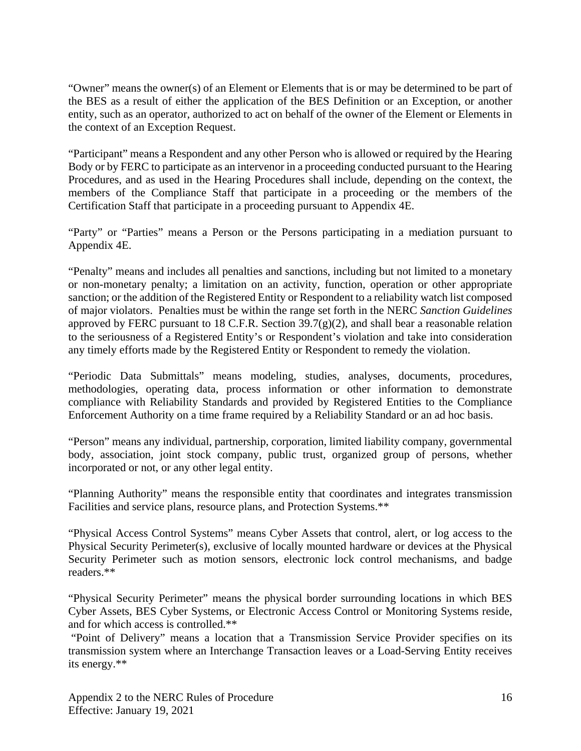"Owner" means the owner(s) of an Element or Elements that is or may be determined to be part of the BES as a result of either the application of the BES Definition or an Exception, or another entity, such as an operator, authorized to act on behalf of the owner of the Element or Elements in the context of an Exception Request.

"Participant" means a Respondent and any other Person who is allowed or required by the Hearing Body or by FERC to participate as an intervenor in a proceeding conducted pursuant to the Hearing Procedures, and as used in the Hearing Procedures shall include, depending on the context, the members of the Compliance Staff that participate in a proceeding or the members of the Certification Staff that participate in a proceeding pursuant to Appendix 4E.

"Party" or "Parties" means a Person or the Persons participating in a mediation pursuant to Appendix 4E.

"Penalty" means and includes all penalties and sanctions, including but not limited to a monetary or non-monetary penalty; a limitation on an activity, function, operation or other appropriate sanction; or the addition of the Registered Entity or Respondent to a reliability watch list composed of major violators. Penalties must be within the range set forth in the NERC *Sanction Guidelines* approved by FERC pursuant to 18 C.F.R. Section  $39.7(g)(2)$ , and shall bear a reasonable relation to the seriousness of a Registered Entity's or Respondent's violation and take into consideration any timely efforts made by the Registered Entity or Respondent to remedy the violation.

"Periodic Data Submittals" means modeling, studies, analyses, documents, procedures, methodologies, operating data, process information or other information to demonstrate compliance with Reliability Standards and provided by Registered Entities to the Compliance Enforcement Authority on a time frame required by a Reliability Standard or an ad hoc basis.

"Person" means any individual, partnership, corporation, limited liability company, governmental body, association, joint stock company, public trust, organized group of persons, whether incorporated or not, or any other legal entity.

"Planning Authority" means the responsible entity that coordinates and integrates transmission Facilities and service plans, resource plans, and Protection Systems.\*\*

"Physical Access Control Systems" means Cyber Assets that control, alert, or log access to the Physical Security Perimeter(s), exclusive of locally mounted hardware or devices at the Physical Security Perimeter such as motion sensors, electronic lock control mechanisms, and badge readers.\*\*

"Physical Security Perimeter" means the physical border surrounding locations in which BES Cyber Assets, BES Cyber Systems, or Electronic Access Control or Monitoring Systems reside, and for which access is controlled.\*\*

"Point of Delivery" means a location that a Transmission Service Provider specifies on its transmission system where an Interchange Transaction leaves or a Load-Serving Entity receives its energy.\*\*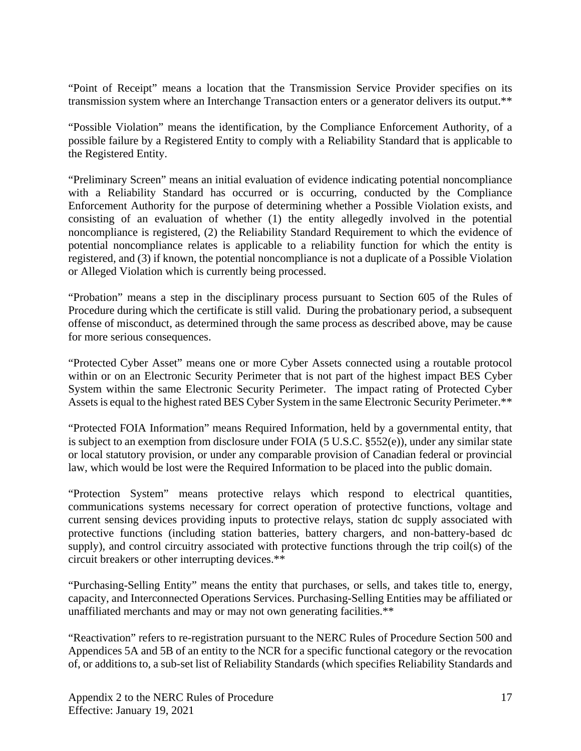"Point of Receipt" means a location that the Transmission Service Provider specifies on its transmission system where an Interchange Transaction enters or a generator delivers its output.\*\*

"Possible Violation" means the identification, by the Compliance Enforcement Authority, of a possible failure by a Registered Entity to comply with a Reliability Standard that is applicable to the Registered Entity.

"Preliminary Screen" means an initial evaluation of evidence indicating potential noncompliance with a Reliability Standard has occurred or is occurring, conducted by the Compliance Enforcement Authority for the purpose of determining whether a Possible Violation exists, and consisting of an evaluation of whether (1) the entity allegedly involved in the potential noncompliance is registered, (2) the Reliability Standard Requirement to which the evidence of potential noncompliance relates is applicable to a reliability function for which the entity is registered, and (3) if known, the potential noncompliance is not a duplicate of a Possible Violation or Alleged Violation which is currently being processed.

"Probation" means a step in the disciplinary process pursuant to Section 605 of the Rules of Procedure during which the certificate is still valid. During the probationary period, a subsequent offense of misconduct, as determined through the same process as described above, may be cause for more serious consequences.

"Protected Cyber Asset" means one or more Cyber Assets connected using a routable protocol within or on an Electronic Security Perimeter that is not part of the highest impact BES Cyber System within the same Electronic Security Perimeter. The impact rating of Protected Cyber Assets is equal to the highest rated BES Cyber System in the same Electronic Security Perimeter.\*\*

"Protected FOIA Information" means Required Information, held by a governmental entity, that is subject to an exemption from disclosure under FOIA (5 U.S.C. §552(e)), under any similar state or local statutory provision, or under any comparable provision of Canadian federal or provincial law, which would be lost were the Required Information to be placed into the public domain.

"Protection System" means protective relays which respond to electrical quantities, communications systems necessary for correct operation of protective functions, voltage and current sensing devices providing inputs to protective relays, station dc supply associated with protective functions (including station batteries, battery chargers, and non-battery-based dc supply), and control circuitry associated with protective functions through the trip coil(s) of the circuit breakers or other interrupting devices.\*\*

"Purchasing-Selling Entity" means the entity that purchases, or sells, and takes title to, energy, capacity, and Interconnected Operations Services. Purchasing-Selling Entities may be affiliated or unaffiliated merchants and may or may not own generating facilities.\*\*

"Reactivation" refers to re-registration pursuant to the NERC Rules of Procedure Section 500 and Appendices 5A and 5B of an entity to the NCR for a specific functional category or the revocation of, or additions to, a sub-set list of Reliability Standards (which specifies Reliability Standards and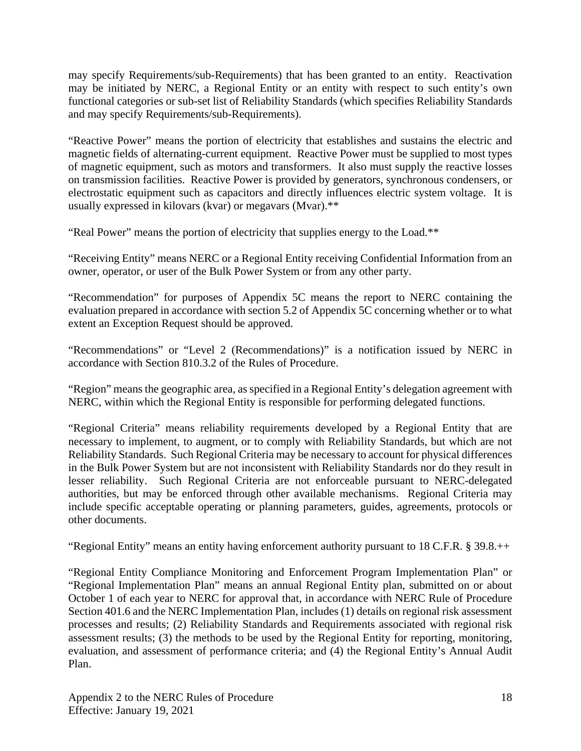may specify Requirements/sub-Requirements) that has been granted to an entity. Reactivation may be initiated by NERC, a Regional Entity or an entity with respect to such entity's own functional categories or sub-set list of Reliability Standards (which specifies Reliability Standards and may specify Requirements/sub-Requirements).

"Reactive Power" means the portion of electricity that establishes and sustains the electric and magnetic fields of alternating-current equipment. Reactive Power must be supplied to most types of magnetic equipment, such as motors and transformers. It also must supply the reactive losses on transmission facilities. Reactive Power is provided by generators, synchronous condensers, or electrostatic equipment such as capacitors and directly influences electric system voltage. It is usually expressed in kilovars (kvar) or megavars (Mvar).\*\*

"Real Power" means the portion of electricity that supplies energy to the Load.\*\*

"Receiving Entity" means NERC or a Regional Entity receiving Confidential Information from an owner, operator, or user of the Bulk Power System or from any other party.

"Recommendation" for purposes of Appendix 5C means the report to NERC containing the evaluation prepared in accordance with section 5.2 of Appendix 5C concerning whether or to what extent an Exception Request should be approved.

"Recommendations" or "Level 2 (Recommendations)" is a notification issued by NERC in accordance with Section 810.3.2 of the Rules of Procedure.

"Region" means the geographic area, as specified in a Regional Entity's delegation agreement with NERC, within which the Regional Entity is responsible for performing delegated functions.

"Regional Criteria" means reliability requirements developed by a Regional Entity that are necessary to implement, to augment, or to comply with Reliability Standards, but which are not Reliability Standards. Such Regional Criteria may be necessary to account for physical differences in the Bulk Power System but are not inconsistent with Reliability Standards nor do they result in lesser reliability. Such Regional Criteria are not enforceable pursuant to NERC-delegated authorities, but may be enforced through other available mechanisms. Regional Criteria may include specific acceptable operating or planning parameters, guides, agreements, protocols or other documents.

"Regional Entity" means an entity having enforcement authority pursuant to 18 C.F.R. § 39.8.++

"Regional Entity Compliance Monitoring and Enforcement Program Implementation Plan" or "Regional Implementation Plan" means an annual Regional Entity plan, submitted on or about October 1 of each year to NERC for approval that, in accordance with NERC Rule of Procedure Section 401.6 and the NERC Implementation Plan, includes (1) details on regional risk assessment processes and results; (2) Reliability Standards and Requirements associated with regional risk assessment results; (3) the methods to be used by the Regional Entity for reporting, monitoring, evaluation, and assessment of performance criteria; and (4) the Regional Entity's Annual Audit Plan.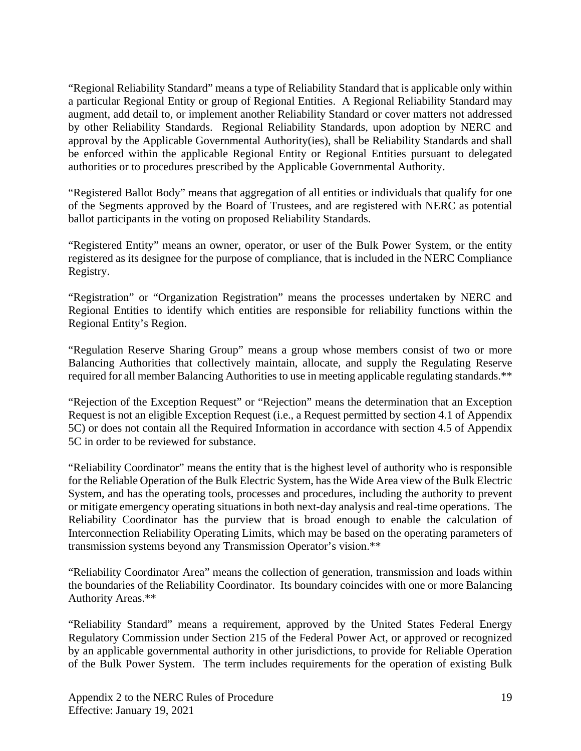"Regional Reliability Standard" means a type of Reliability Standard that is applicable only within a particular Regional Entity or group of Regional Entities. A Regional Reliability Standard may augment, add detail to, or implement another Reliability Standard or cover matters not addressed by other Reliability Standards. Regional Reliability Standards, upon adoption by NERC and approval by the Applicable Governmental Authority(ies), shall be Reliability Standards and shall be enforced within the applicable Regional Entity or Regional Entities pursuant to delegated authorities or to procedures prescribed by the Applicable Governmental Authority.

"Registered Ballot Body" means that aggregation of all entities or individuals that qualify for one of the Segments approved by the Board of Trustees, and are registered with NERC as potential ballot participants in the voting on proposed Reliability Standards.

"Registered Entity" means an owner, operator, or user of the Bulk Power System, or the entity registered as its designee for the purpose of compliance, that is included in the NERC Compliance Registry.

"Registration" or "Organization Registration" means the processes undertaken by NERC and Regional Entities to identify which entities are responsible for reliability functions within the Regional Entity's Region.

"Regulation Reserve Sharing Group" means a group whose members consist of two or more Balancing Authorities that collectively maintain, allocate, and supply the Regulating Reserve required for all member Balancing Authorities to use in meeting applicable regulating standards.\*\*

"Rejection of the Exception Request" or "Rejection" means the determination that an Exception Request is not an eligible Exception Request (i.e., a Request permitted by section 4.1 of Appendix 5C) or does not contain all the Required Information in accordance with section 4.5 of Appendix 5C in order to be reviewed for substance.

"Reliability Coordinator" means the entity that is the highest level of authority who is responsible for the Reliable Operation of the Bulk Electric System, has the Wide Area view of the Bulk Electric System, and has the operating tools, processes and procedures, including the authority to prevent or mitigate emergency operating situations in both next-day analysis and real-time operations. The Reliability Coordinator has the purview that is broad enough to enable the calculation of Interconnection Reliability Operating Limits, which may be based on the operating parameters of transmission systems beyond any Transmission Operator's vision.\*\*

"Reliability Coordinator Area" means the collection of generation, transmission and loads within the boundaries of the Reliability Coordinator. Its boundary coincides with one or more Balancing Authority Areas.\*\*

"Reliability Standard" means a requirement, approved by the United States Federal Energy Regulatory Commission under Section 215 of the Federal Power Act, or approved or recognized by an applicable governmental authority in other jurisdictions, to provide for Reliable Operation of the Bulk Power System. The term includes requirements for the operation of existing Bulk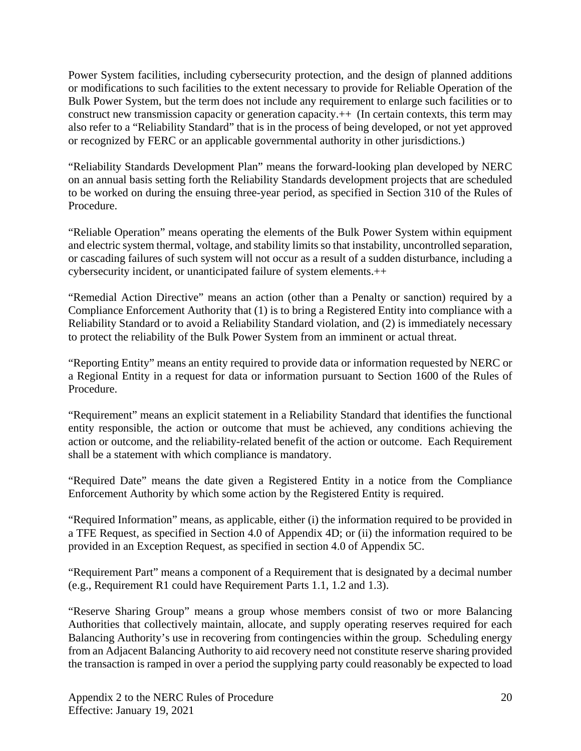Power System facilities, including cybersecurity protection, and the design of planned additions or modifications to such facilities to the extent necessary to provide for Reliable Operation of the Bulk Power System, but the term does not include any requirement to enlarge such facilities or to construct new transmission capacity or generation capacity. $++$  (In certain contexts, this term may also refer to a "Reliability Standard" that is in the process of being developed, or not yet approved or recognized by FERC or an applicable governmental authority in other jurisdictions.)

"Reliability Standards Development Plan" means the forward-looking plan developed by NERC on an annual basis setting forth the Reliability Standards development projects that are scheduled to be worked on during the ensuing three-year period, as specified in Section 310 of the Rules of **Procedure.** 

"Reliable Operation" means operating the elements of the Bulk Power System within equipment and electric system thermal, voltage, and stability limits so that instability, uncontrolled separation, or cascading failures of such system will not occur as a result of a sudden disturbance, including a cybersecurity incident, or unanticipated failure of system elements.++

"Remedial Action Directive" means an action (other than a Penalty or sanction) required by a Compliance Enforcement Authority that (1) is to bring a Registered Entity into compliance with a Reliability Standard or to avoid a Reliability Standard violation, and (2) is immediately necessary to protect the reliability of the Bulk Power System from an imminent or actual threat.

"Reporting Entity" means an entity required to provide data or information requested by NERC or a Regional Entity in a request for data or information pursuant to Section 1600 of the Rules of Procedure.

"Requirement" means an explicit statement in a Reliability Standard that identifies the functional entity responsible, the action or outcome that must be achieved, any conditions achieving the action or outcome, and the reliability-related benefit of the action or outcome. Each Requirement shall be a statement with which compliance is mandatory.

"Required Date" means the date given a Registered Entity in a notice from the Compliance Enforcement Authority by which some action by the Registered Entity is required.

"Required Information" means, as applicable, either (i) the information required to be provided in a TFE Request, as specified in Section 4.0 of Appendix 4D; or (ii) the information required to be provided in an Exception Request, as specified in section 4.0 of Appendix 5C.

"Requirement Part" means a component of a Requirement that is designated by a decimal number (e.g., Requirement R1 could have Requirement Parts 1.1, 1.2 and 1.3).

"Reserve Sharing Group" means a group whose members consist of two or more Balancing Authorities that collectively maintain, allocate, and supply operating reserves required for each Balancing Authority's use in recovering from contingencies within the group. Scheduling energy from an Adjacent Balancing Authority to aid recovery need not constitute reserve sharing provided the transaction is ramped in over a period the supplying party could reasonably be expected to load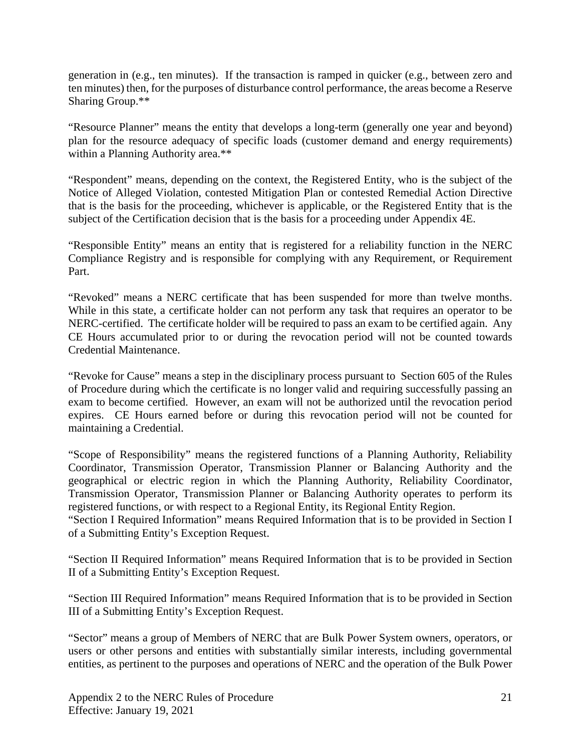generation in (e.g., ten minutes). If the transaction is ramped in quicker (e.g., between zero and ten minutes) then, for the purposes of disturbance control performance, the areas become a Reserve Sharing Group.\*\*

"Resource Planner" means the entity that develops a long-term (generally one year and beyond) plan for the resource adequacy of specific loads (customer demand and energy requirements) within a Planning Authority area.\*\*

"Respondent" means, depending on the context, the Registered Entity, who is the subject of the Notice of Alleged Violation, contested Mitigation Plan or contested Remedial Action Directive that is the basis for the proceeding, whichever is applicable, or the Registered Entity that is the subject of the Certification decision that is the basis for a proceeding under Appendix 4E.

"Responsible Entity" means an entity that is registered for a reliability function in the NERC Compliance Registry and is responsible for complying with any Requirement, or Requirement Part.

"Revoked" means a NERC certificate that has been suspended for more than twelve months. While in this state, a certificate holder can not perform any task that requires an operator to be NERC-certified. The certificate holder will be required to pass an exam to be certified again. Any CE Hours accumulated prior to or during the revocation period will not be counted towards Credential Maintenance.

"Revoke for Cause" means a step in the disciplinary process pursuant to Section 605 of the Rules of Procedure during which the certificate is no longer valid and requiring successfully passing an exam to become certified. However, an exam will not be authorized until the revocation period expires. CE Hours earned before or during this revocation period will not be counted for maintaining a Credential.

"Scope of Responsibility" means the registered functions of a Planning Authority, Reliability Coordinator, Transmission Operator, Transmission Planner or Balancing Authority and the geographical or electric region in which the Planning Authority, Reliability Coordinator, Transmission Operator, Transmission Planner or Balancing Authority operates to perform its registered functions, or with respect to a Regional Entity, its Regional Entity Region.

"Section I Required Information" means Required Information that is to be provided in Section I of a Submitting Entity's Exception Request.

"Section II Required Information" means Required Information that is to be provided in Section II of a Submitting Entity's Exception Request.

"Section III Required Information" means Required Information that is to be provided in Section III of a Submitting Entity's Exception Request.

"Sector" means a group of Members of NERC that are Bulk Power System owners, operators, or users or other persons and entities with substantially similar interests, including governmental entities, as pertinent to the purposes and operations of NERC and the operation of the Bulk Power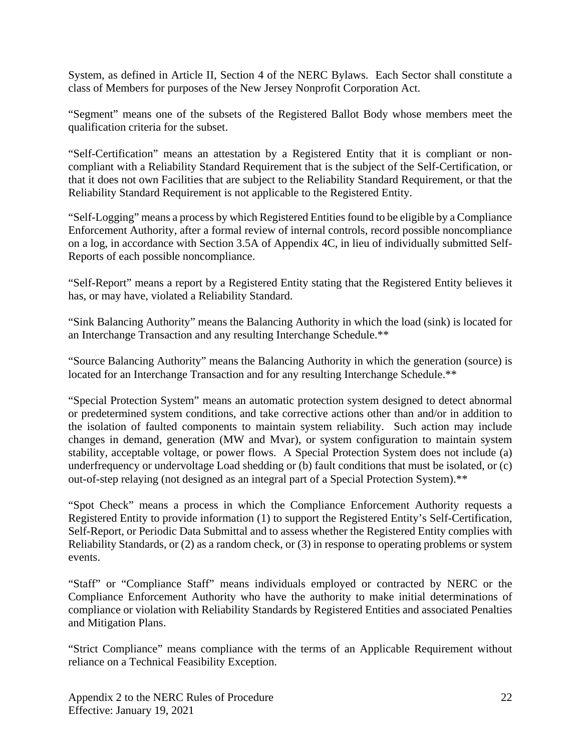System, as defined in Article II, Section 4 of the NERC Bylaws. Each Sector shall constitute a class of Members for purposes of the New Jersey Nonprofit Corporation Act.

"Segment" means one of the subsets of the Registered Ballot Body whose members meet the qualification criteria for the subset.

"Self-Certification" means an attestation by a Registered Entity that it is compliant or noncompliant with a Reliability Standard Requirement that is the subject of the Self-Certification, or that it does not own Facilities that are subject to the Reliability Standard Requirement, or that the Reliability Standard Requirement is not applicable to the Registered Entity.

"Self-Logging" means a process by which Registered Entities found to be eligible by a Compliance Enforcement Authority, after a formal review of internal controls, record possible noncompliance on a log, in accordance with Section 3.5A of Appendix 4C, in lieu of individually submitted Self-Reports of each possible noncompliance.

"Self-Report" means a report by a Registered Entity stating that the Registered Entity believes it has, or may have, violated a Reliability Standard.

"Sink Balancing Authority" means the Balancing Authority in which the load (sink) is located for an Interchange Transaction and any resulting Interchange Schedule.\*\*

"Source Balancing Authority" means the Balancing Authority in which the generation (source) is located for an Interchange Transaction and for any resulting Interchange Schedule.\*\*

"Special Protection System" means an automatic protection system designed to detect abnormal or predetermined system conditions, and take corrective actions other than and/or in addition to the isolation of faulted components to maintain system reliability. Such action may include changes in demand, generation (MW and Mvar), or system configuration to maintain system stability, acceptable voltage, or power flows. A Special Protection System does not include (a) underfrequency or undervoltage Load shedding or (b) fault conditions that must be isolated, or (c) out-of-step relaying (not designed as an integral part of a Special Protection System).\*\*

"Spot Check" means a process in which the Compliance Enforcement Authority requests a Registered Entity to provide information (1) to support the Registered Entity's Self-Certification, Self-Report, or Periodic Data Submittal and to assess whether the Registered Entity complies with Reliability Standards, or (2) as a random check, or (3) in response to operating problems or system events.

"Staff" or "Compliance Staff" means individuals employed or contracted by NERC or the Compliance Enforcement Authority who have the authority to make initial determinations of compliance or violation with Reliability Standards by Registered Entities and associated Penalties and Mitigation Plans.

"Strict Compliance" means compliance with the terms of an Applicable Requirement without reliance on a Technical Feasibility Exception.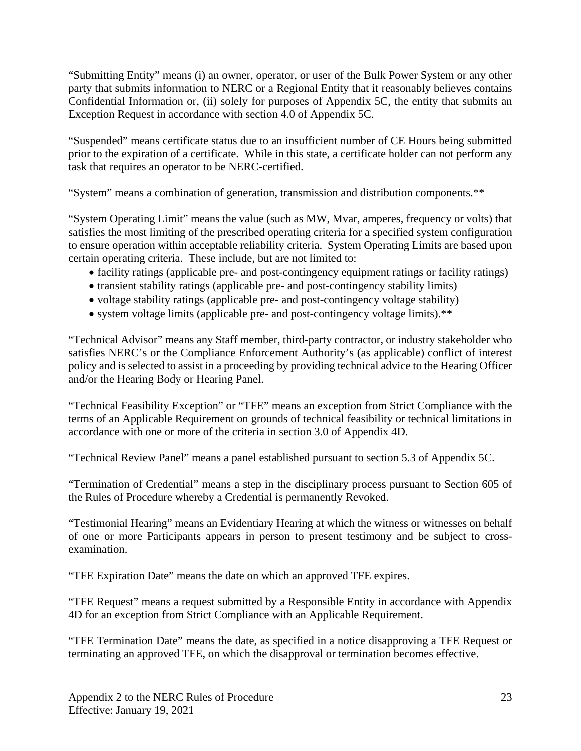"Submitting Entity" means (i) an owner, operator, or user of the Bulk Power System or any other party that submits information to NERC or a Regional Entity that it reasonably believes contains Confidential Information or, (ii) solely for purposes of Appendix 5C, the entity that submits an Exception Request in accordance with section 4.0 of Appendix 5C.

"Suspended" means certificate status due to an insufficient number of CE Hours being submitted prior to the expiration of a certificate. While in this state, a certificate holder can not perform any task that requires an operator to be NERC-certified.

"System" means a combination of generation, transmission and distribution components.\*\*

"System Operating Limit" means the value (such as MW, Mvar, amperes, frequency or volts) that satisfies the most limiting of the prescribed operating criteria for a specified system configuration to ensure operation within acceptable reliability criteria. System Operating Limits are based upon certain operating criteria. These include, but are not limited to:

- facility ratings (applicable pre- and post-contingency equipment ratings or facility ratings)
- transient stability ratings (applicable pre- and post-contingency stability limits)
- voltage stability ratings (applicable pre- and post-contingency voltage stability)
- system voltage limits (applicable pre- and post-contingency voltage limits).<sup>\*\*</sup>

"Technical Advisor" means any Staff member, third-party contractor, or industry stakeholder who satisfies NERC's or the Compliance Enforcement Authority's (as applicable) conflict of interest policy and is selected to assist in a proceeding by providing technical advice to the Hearing Officer and/or the Hearing Body or Hearing Panel.

"Technical Feasibility Exception" or "TFE" means an exception from Strict Compliance with the terms of an Applicable Requirement on grounds of technical feasibility or technical limitations in accordance with one or more of the criteria in section 3.0 of Appendix 4D.

"Technical Review Panel" means a panel established pursuant to section 5.3 of Appendix 5C.

"Termination of Credential" means a step in the disciplinary process pursuant to Section 605 of the Rules of Procedure whereby a Credential is permanently Revoked.

"Testimonial Hearing" means an Evidentiary Hearing at which the witness or witnesses on behalf of one or more Participants appears in person to present testimony and be subject to crossexamination.

"TFE Expiration Date" means the date on which an approved TFE expires.

"TFE Request" means a request submitted by a Responsible Entity in accordance with Appendix 4D for an exception from Strict Compliance with an Applicable Requirement.

"TFE Termination Date" means the date, as specified in a notice disapproving a TFE Request or terminating an approved TFE, on which the disapproval or termination becomes effective.